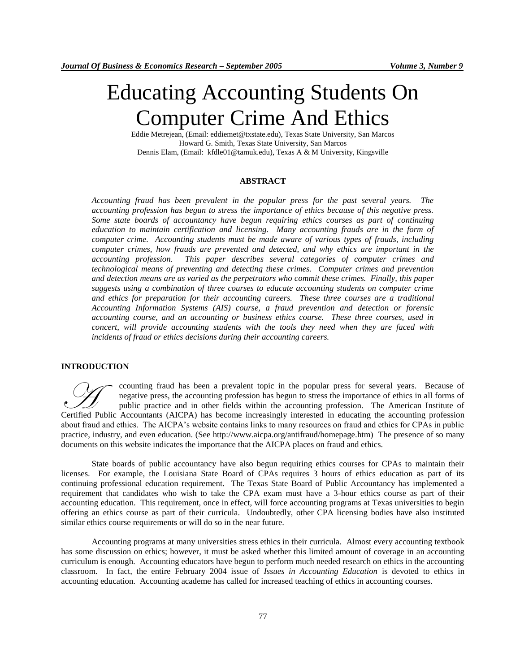# Educating Accounting Students On Computer Crime And Ethics

Eddie Metrejean, (Email: eddiemet@txstate.edu), Texas State University, San Marcos Howard G. Smith, Texas State University, San Marcos Dennis Elam, (Email: kfdle01@tamuk.edu), Texas A & M University, Kingsville

## **ABSTRACT**

*Accounting fraud has been prevalent in the popular press for the past several years. The accounting profession has begun to stress the importance of ethics because of this negative press. Some state boards of accountancy have begun requiring ethics courses as part of continuing education to maintain certification and licensing. Many accounting frauds are in the form of computer crime. Accounting students must be made aware of various types of frauds, including computer crimes, how frauds are prevented and detected, and why ethics are important in the accounting profession. This paper describes several categories of computer crimes and technological means of preventing and detecting these crimes. Computer crimes and prevention and detection means are as varied as the perpetrators who commit these crimes. Finally, this paper suggests using a combination of three courses to educate accounting students on computer crime and ethics for preparation for their accounting careers. These three courses are a traditional Accounting Information Systems (AIS) course, a fraud prevention and detection or forensic accounting course, and an accounting or business ethics course. These three courses, used in concert, will provide accounting students with the tools they need when they are faced with incidents of fraud or ethics decisions during their accounting careers.*

# **INTRODUCTION**

ccounting fraud has been a prevalent topic in the popular press for several years. Because of negative press, the accounting profession has begun to stress the importance of ethics in all forms of public practice and in other fields within the accounting profession. The American Institute of Certified Public Accountants (AICPA) has become increasingly interested in educating the accounting profession. The American Institute of Certified Public Accountants (AICPA) has become increasingly interested in educating about fraud and ethics. The AICPA's website contains links to many resources on fraud and ethics for CPAs in public practice, industry, and even education. (See http://www.aicpa.org/antifraud/homepage.htm) The presence of so many documents on this website indicates the importance that the AICPA places on fraud and ethics.

State boards of public accountancy have also begun requiring ethics courses for CPAs to maintain their licenses. For example, the Louisiana State Board of CPAs requires 3 hours of ethics education as part of its continuing professional education requirement. The Texas State Board of Public Accountancy has implemented a requirement that candidates who wish to take the CPA exam must have a 3-hour ethics course as part of their accounting education. This requirement, once in effect, will force accounting programs at Texas universities to begin offering an ethics course as part of their curricula. Undoubtedly, other CPA licensing bodies have also instituted similar ethics course requirements or will do so in the near future.

Accounting programs at many universities stress ethics in their curricula. Almost every accounting textbook has some discussion on ethics; however, it must be asked whether this limited amount of coverage in an accounting curriculum is enough. Accounting educators have begun to perform much needed research on ethics in the accounting classroom. In fact, the entire February 2004 issue of *Issues in Accounting Education* is devoted to ethics in accounting education. Accounting academe has called for increased teaching of ethics in accounting courses.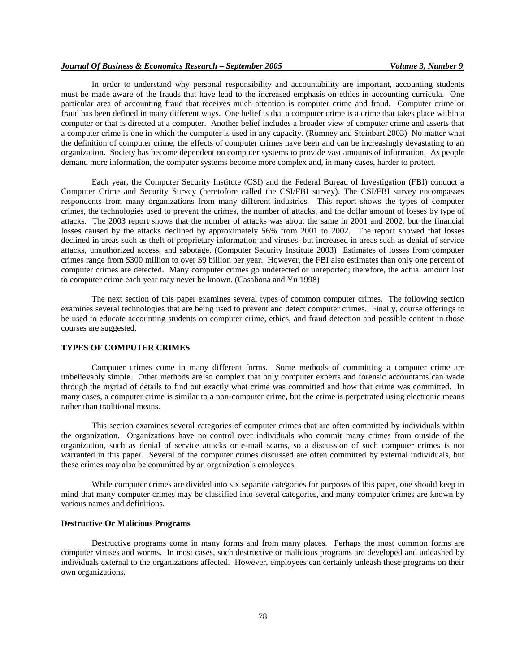# *Journal Of Business & Economics Research – September 2005 Volume 3, Number 9*

In order to understand why personal responsibility and accountability are important, accounting students must be made aware of the frauds that have lead to the increased emphasis on ethics in accounting curricula. One particular area of accounting fraud that receives much attention is computer crime and fraud. Computer crime or fraud has been defined in many different ways. One belief is that a computer crime is a crime that takes place within a computer or that is directed at a computer. Another belief includes a broader view of computer crime and asserts that a computer crime is one in which the computer is used in any capacity. (Romney and Steinbart 2003) No matter what the definition of computer crime, the effects of computer crimes have been and can be increasingly devastating to an organization. Society has become dependent on computer systems to provide vast amounts of information. As people demand more information, the computer systems become more complex and, in many cases, harder to protect.

Each year, the Computer Security Institute (CSI) and the Federal Bureau of Investigation (FBI) conduct a Computer Crime and Security Survey (heretofore called the CSI/FBI survey). The CSI/FBI survey encompasses respondents from many organizations from many different industries. This report shows the types of computer crimes, the technologies used to prevent the crimes, the number of attacks, and the dollar amount of losses by type of attacks. The 2003 report shows that the number of attacks was about the same in 2001 and 2002, but the financial losses caused by the attacks declined by approximately 56% from 2001 to 2002. The report showed that losses declined in areas such as theft of proprietary information and viruses, but increased in areas such as denial of service attacks, unauthorized access, and sabotage. (Computer Security Institute 2003) Estimates of losses from computer crimes range from \$300 million to over \$9 billion per year. However, the FBI also estimates than only one percent of computer crimes are detected. Many computer crimes go undetected or unreported; therefore, the actual amount lost to computer crime each year may never be known. (Casabona and Yu 1998)

The next section of this paper examines several types of common computer crimes. The following section examines several technologies that are being used to prevent and detect computer crimes. Finally, course offerings to be used to educate accounting students on computer crime, ethics, and fraud detection and possible content in those courses are suggested.

## **TYPES OF COMPUTER CRIMES**

Computer crimes come in many different forms. Some methods of committing a computer crime are unbelievably simple. Other methods are so complex that only computer experts and forensic accountants can wade through the myriad of details to find out exactly what crime was committed and how that crime was committed. In many cases, a computer crime is similar to a non-computer crime, but the crime is perpetrated using electronic means rather than traditional means.

This section examines several categories of computer crimes that are often committed by individuals within the organization. Organizations have no control over individuals who commit many crimes from outside of the organization, such as denial of service attacks or e-mail scams, so a discussion of such computer crimes is not warranted in this paper. Several of the computer crimes discussed are often committed by external individuals, but these crimes may also be committed by an organization's employees.

While computer crimes are divided into six separate categories for purposes of this paper, one should keep in mind that many computer crimes may be classified into several categories, and many computer crimes are known by various names and definitions.

## **Destructive Or Malicious Programs**

Destructive programs come in many forms and from many places. Perhaps the most common forms are computer viruses and worms. In most cases, such destructive or malicious programs are developed and unleashed by individuals external to the organizations affected. However, employees can certainly unleash these programs on their own organizations.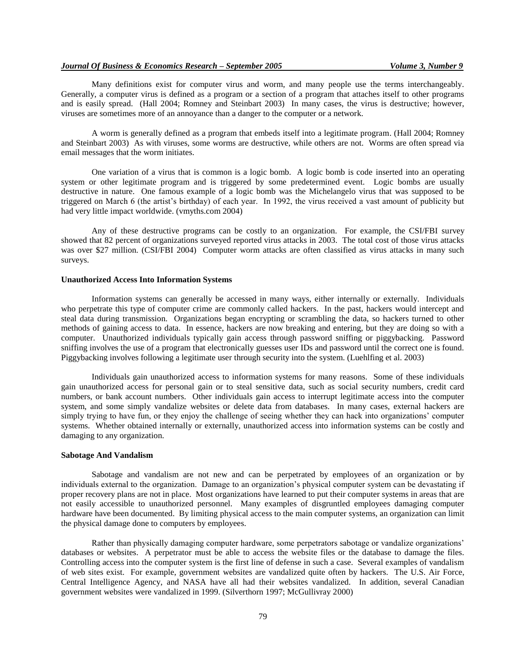Many definitions exist for computer virus and worm, and many people use the terms interchangeably. Generally, a computer virus is defined as a program or a section of a program that attaches itself to other programs and is easily spread. (Hall 2004; Romney and Steinbart 2003) In many cases, the virus is destructive; however, viruses are sometimes more of an annoyance than a danger to the computer or a network.

A worm is generally defined as a program that embeds itself into a legitimate program. (Hall 2004; Romney and Steinbart 2003) As with viruses, some worms are destructive, while others are not. Worms are often spread via email messages that the worm initiates.

One variation of a virus that is common is a logic bomb. A logic bomb is code inserted into an operating system or other legitimate program and is triggered by some predetermined event. Logic bombs are usually destructive in nature. One famous example of a logic bomb was the Michelangelo virus that was supposed to be triggered on March 6 (the artist's birthday) of each year. In 1992, the virus received a vast amount of publicity but had very little impact worldwide. (vmyths.com 2004)

Any of these destructive programs can be costly to an organization. For example, the CSI/FBI survey showed that 82 percent of organizations surveyed reported virus attacks in 2003. The total cost of those virus attacks was over \$27 million. (CSI/FBI 2004) Computer worm attacks are often classified as virus attacks in many such surveys.

## **Unauthorized Access Into Information Systems**

Information systems can generally be accessed in many ways, either internally or externally. Individuals who perpetrate this type of computer crime are commonly called hackers. In the past, hackers would intercept and steal data during transmission. Organizations began encrypting or scrambling the data, so hackers turned to other methods of gaining access to data. In essence, hackers are now breaking and entering, but they are doing so with a computer. Unauthorized individuals typically gain access through password sniffing or piggybacking. Password sniffing involves the use of a program that electronically guesses user IDs and password until the correct one is found. Piggybacking involves following a legitimate user through security into the system. (Luehlfing et al. 2003)

Individuals gain unauthorized access to information systems for many reasons. Some of these individuals gain unauthorized access for personal gain or to steal sensitive data, such as social security numbers, credit card numbers, or bank account numbers. Other individuals gain access to interrupt legitimate access into the computer system, and some simply vandalize websites or delete data from databases. In many cases, external hackers are simply trying to have fun, or they enjoy the challenge of seeing whether they can hack into organizations' computer systems. Whether obtained internally or externally, unauthorized access into information systems can be costly and damaging to any organization.

#### **Sabotage And Vandalism**

Sabotage and vandalism are not new and can be perpetrated by employees of an organization or by individuals external to the organization. Damage to an organization's physical computer system can be devastating if proper recovery plans are not in place. Most organizations have learned to put their computer systems in areas that are not easily accessible to unauthorized personnel. Many examples of disgruntled employees damaging computer hardware have been documented. By limiting physical access to the main computer systems, an organization can limit the physical damage done to computers by employees.

Rather than physically damaging computer hardware, some perpetrators sabotage or vandalize organizations' databases or websites. A perpetrator must be able to access the website files or the database to damage the files. Controlling access into the computer system is the first line of defense in such a case. Several examples of vandalism of web sites exist. For example, government websites are vandalized quite often by hackers. The U.S. Air Force, Central Intelligence Agency, and NASA have all had their websites vandalized. In addition, several Canadian government websites were vandalized in 1999. (Silverthorn 1997; McGullivray 2000)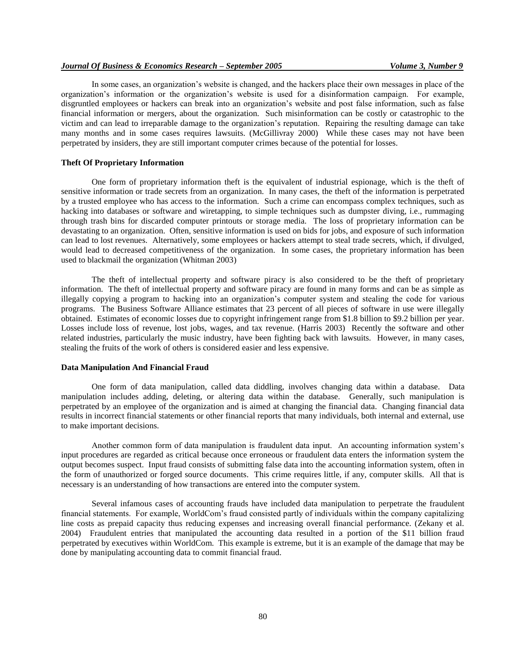## *Journal Of Business & Economics Research – September 2005 Volume 3, Number 9*

In some cases, an organization's website is changed, and the hackers place their own messages in place of the organization's information or the organization's website is used for a disinformation campaign. For example, disgruntled employees or hackers can break into an organization's website and post false information, such as false financial information or mergers, about the organization. Such misinformation can be costly or catastrophic to the victim and can lead to irreparable damage to the organization's reputation. Repairing the resulting damage can take many months and in some cases requires lawsuits. (McGillivray 2000) While these cases may not have been perpetrated by insiders, they are still important computer crimes because of the potential for losses.

## **Theft Of Proprietary Information**

One form of proprietary information theft is the equivalent of industrial espionage, which is the theft of sensitive information or trade secrets from an organization. In many cases, the theft of the information is perpetrated by a trusted employee who has access to the information. Such a crime can encompass complex techniques, such as hacking into databases or software and wiretapping, to simple techniques such as dumpster diving, i.e., rummaging through trash bins for discarded computer printouts or storage media. The loss of proprietary information can be devastating to an organization. Often, sensitive information is used on bids for jobs, and exposure of such information can lead to lost revenues. Alternatively, some employees or hackers attempt to steal trade secrets, which, if divulged, would lead to decreased competitiveness of the organization. In some cases, the proprietary information has been used to blackmail the organization (Whitman 2003)

The theft of intellectual property and software piracy is also considered to be the theft of proprietary information. The theft of intellectual property and software piracy are found in many forms and can be as simple as illegally copying a program to hacking into an organization's computer system and stealing the code for various programs. The Business Software Alliance estimates that 23 percent of all pieces of software in use were illegally obtained. Estimates of economic losses due to copyright infringement range from \$1.8 billion to \$9.2 billion per year. Losses include loss of revenue, lost jobs, wages, and tax revenue. (Harris 2003) Recently the software and other related industries, particularly the music industry, have been fighting back with lawsuits. However, in many cases, stealing the fruits of the work of others is considered easier and less expensive.

## **Data Manipulation And Financial Fraud**

One form of data manipulation, called data diddling, involves changing data within a database. Data manipulation includes adding, deleting, or altering data within the database. Generally, such manipulation is perpetrated by an employee of the organization and is aimed at changing the financial data. Changing financial data results in incorrect financial statements or other financial reports that many individuals, both internal and external, use to make important decisions.

Another common form of data manipulation is fraudulent data input. An accounting information system's input procedures are regarded as critical because once erroneous or fraudulent data enters the information system the output becomes suspect. Input fraud consists of submitting false data into the accounting information system, often in the form of unauthorized or forged source documents. This crime requires little, if any, computer skills. All that is necessary is an understanding of how transactions are entered into the computer system.

Several infamous cases of accounting frauds have included data manipulation to perpetrate the fraudulent financial statements. For example, WorldCom's fraud consisted partly of individuals within the company capitalizing line costs as prepaid capacity thus reducing expenses and increasing overall financial performance. (Zekany et al. 2004) Fraudulent entries that manipulated the accounting data resulted in a portion of the \$11 billion fraud perpetrated by executives within WorldCom. This example is extreme, but it is an example of the damage that may be done by manipulating accounting data to commit financial fraud.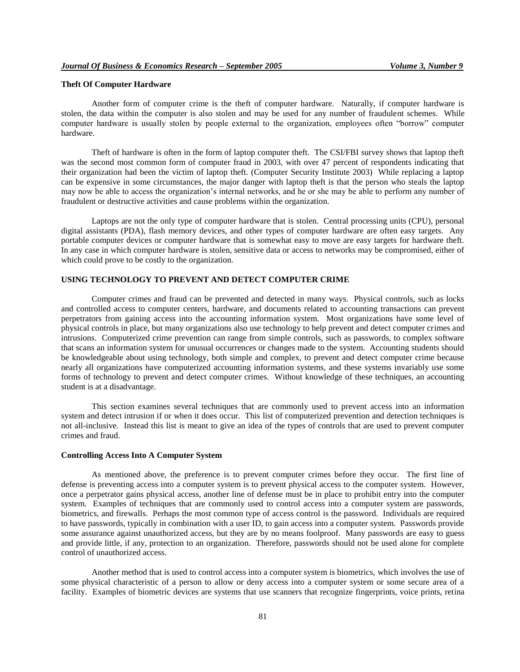# **Theft Of Computer Hardware**

Another form of computer crime is the theft of computer hardware. Naturally, if computer hardware is stolen, the data within the computer is also stolen and may be used for any number of fraudulent schemes. While computer hardware is usually stolen by people external to the organization, employees often "borrow" computer hardware.

Theft of hardware is often in the form of laptop computer theft. The CSI/FBI survey shows that laptop theft was the second most common form of computer fraud in 2003, with over 47 percent of respondents indicating that their organization had been the victim of laptop theft. (Computer Security Institute 2003) While replacing a laptop can be expensive in some circumstances, the major danger with laptop theft is that the person who steals the laptop may now be able to access the organization's internal networks, and he or she may be able to perform any number of fraudulent or destructive activities and cause problems within the organization.

Laptops are not the only type of computer hardware that is stolen. Central processing units (CPU), personal digital assistants (PDA), flash memory devices, and other types of computer hardware are often easy targets. Any portable computer devices or computer hardware that is somewhat easy to move are easy targets for hardware theft. In any case in which computer hardware is stolen, sensitive data or access to networks may be compromised, either of which could prove to be costly to the organization.

# **USING TECHNOLOGY TO PREVENT AND DETECT COMPUTER CRIME**

Computer crimes and fraud can be prevented and detected in many ways. Physical controls, such as locks and controlled access to computer centers, hardware, and documents related to accounting transactions can prevent perpetrators from gaining access into the accounting information system. Most organizations have some level of physical controls in place, but many organizations also use technology to help prevent and detect computer crimes and intrusions. Computerized crime prevention can range from simple controls, such as passwords, to complex software that scans an information system for unusual occurrences or changes made to the system. Accounting students should be knowledgeable about using technology, both simple and complex, to prevent and detect computer crime because nearly all organizations have computerized accounting information systems, and these systems invariably use some forms of technology to prevent and detect computer crimes. Without knowledge of these techniques, an accounting student is at a disadvantage.

This section examines several techniques that are commonly used to prevent access into an information system and detect intrusion if or when it does occur. This list of computerized prevention and detection techniques is not all-inclusive. Instead this list is meant to give an idea of the types of controls that are used to prevent computer crimes and fraud.

## **Controlling Access Into A Computer System**

As mentioned above, the preference is to prevent computer crimes before they occur. The first line of defense is preventing access into a computer system is to prevent physical access to the computer system. However, once a perpetrator gains physical access, another line of defense must be in place to prohibit entry into the computer system. Examples of techniques that are commonly used to control access into a computer system are passwords, biometrics, and firewalls. Perhaps the most common type of access control is the password. Individuals are required to have passwords, typically in combination with a user ID, to gain access into a computer system. Passwords provide some assurance against unauthorized access, but they are by no means foolproof. Many passwords are easy to guess and provide little, if any, protection to an organization. Therefore, passwords should not be used alone for complete control of unauthorized access.

Another method that is used to control access into a computer system is biometrics, which involves the use of some physical characteristic of a person to allow or deny access into a computer system or some secure area of a facility. Examples of biometric devices are systems that use scanners that recognize fingerprints, voice prints, retina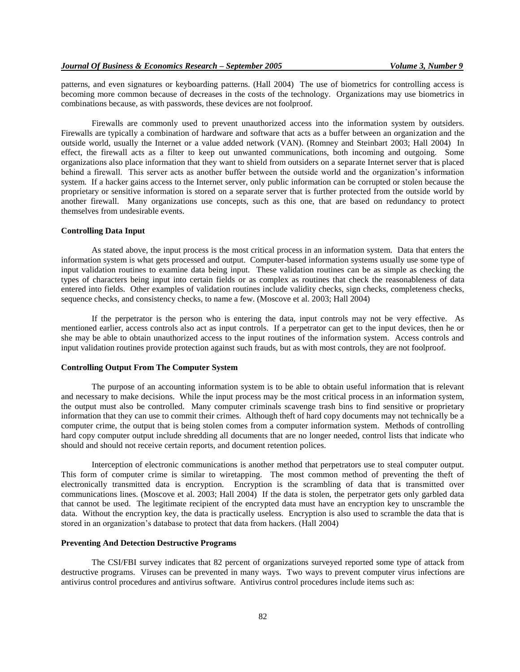patterns, and even signatures or keyboarding patterns. (Hall 2004) The use of biometrics for controlling access is becoming more common because of decreases in the costs of the technology. Organizations may use biometrics in combinations because, as with passwords, these devices are not foolproof.

Firewalls are commonly used to prevent unauthorized access into the information system by outsiders. Firewalls are typically a combination of hardware and software that acts as a buffer between an organization and the outside world, usually the Internet or a value added network (VAN). (Romney and Steinbart 2003; Hall 2004) In effect, the firewall acts as a filter to keep out unwanted communications, both incoming and outgoing. Some organizations also place information that they want to shield from outsiders on a separate Internet server that is placed behind a firewall. This server acts as another buffer between the outside world and the organization's information system. If a hacker gains access to the Internet server, only public information can be corrupted or stolen because the proprietary or sensitive information is stored on a separate server that is further protected from the outside world by another firewall. Many organizations use concepts, such as this one, that are based on redundancy to protect themselves from undesirable events.

## **Controlling Data Input**

As stated above, the input process is the most critical process in an information system. Data that enters the information system is what gets processed and output. Computer-based information systems usually use some type of input validation routines to examine data being input. These validation routines can be as simple as checking the types of characters being input into certain fields or as complex as routines that check the reasonableness of data entered into fields. Other examples of validation routines include validity checks, sign checks, completeness checks, sequence checks, and consistency checks, to name a few. (Moscove et al. 2003; Hall 2004)

If the perpetrator is the person who is entering the data, input controls may not be very effective. As mentioned earlier, access controls also act as input controls. If a perpetrator can get to the input devices, then he or she may be able to obtain unauthorized access to the input routines of the information system. Access controls and input validation routines provide protection against such frauds, but as with most controls, they are not foolproof.

## **Controlling Output From The Computer System**

The purpose of an accounting information system is to be able to obtain useful information that is relevant and necessary to make decisions. While the input process may be the most critical process in an information system, the output must also be controlled. Many computer criminals scavenge trash bins to find sensitive or proprietary information that they can use to commit their crimes. Although theft of hard copy documents may not technically be a computer crime, the output that is being stolen comes from a computer information system. Methods of controlling hard copy computer output include shredding all documents that are no longer needed, control lists that indicate who should and should not receive certain reports, and document retention polices.

Interception of electronic communications is another method that perpetrators use to steal computer output. This form of computer crime is similar to wiretapping. The most common method of preventing the theft of electronically transmitted data is encryption. Encryption is the scrambling of data that is transmitted over communications lines. (Moscove et al. 2003; Hall 2004) If the data is stolen, the perpetrator gets only garbled data that cannot be used. The legitimate recipient of the encrypted data must have an encryption key to unscramble the data. Without the encryption key, the data is practically useless. Encryption is also used to scramble the data that is stored in an organization's database to protect that data from hackers. (Hall 2004)

## **Preventing And Detection Destructive Programs**

The CSI/FBI survey indicates that 82 percent of organizations surveyed reported some type of attack from destructive programs. Viruses can be prevented in many ways. Two ways to prevent computer virus infections are antivirus control procedures and antivirus software. Antivirus control procedures include items such as: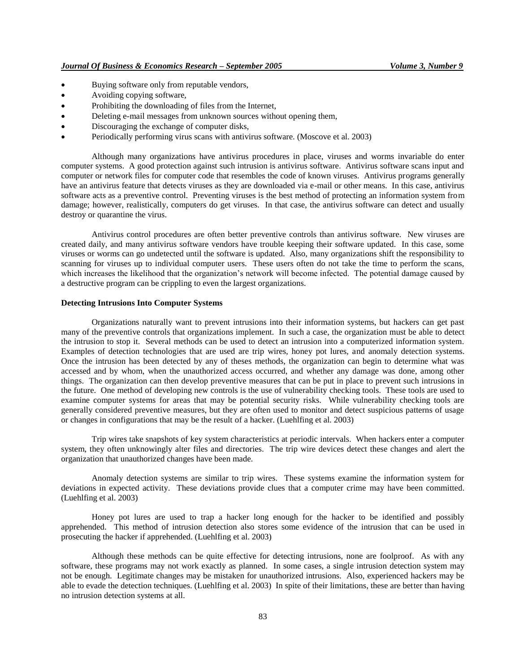- Buying software only from reputable vendors,
- Avoiding copying software,
- Prohibiting the downloading of files from the Internet,
- Deleting e-mail messages from unknown sources without opening them,
- Discouraging the exchange of computer disks,
- Periodically performing virus scans with antivirus software. (Moscove et al. 2003)

Although many organizations have antivirus procedures in place, viruses and worms invariable do enter computer systems. A good protection against such intrusion is antivirus software. Antivirus software scans input and computer or network files for computer code that resembles the code of known viruses. Antivirus programs generally have an antivirus feature that detects viruses as they are downloaded via e-mail or other means. In this case, antivirus software acts as a preventive control. Preventing viruses is the best method of protecting an information system from damage; however, realistically, computers do get viruses. In that case, the antivirus software can detect and usually destroy or quarantine the virus.

Antivirus control procedures are often better preventive controls than antivirus software. New viruses are created daily, and many antivirus software vendors have trouble keeping their software updated. In this case, some viruses or worms can go undetected until the software is updated. Also, many organizations shift the responsibility to scanning for viruses up to individual computer users. These users often do not take the time to perform the scans, which increases the likelihood that the organization's network will become infected. The potential damage caused by a destructive program can be crippling to even the largest organizations.

## **Detecting Intrusions Into Computer Systems**

Organizations naturally want to prevent intrusions into their information systems, but hackers can get past many of the preventive controls that organizations implement. In such a case, the organization must be able to detect the intrusion to stop it. Several methods can be used to detect an intrusion into a computerized information system. Examples of detection technologies that are used are trip wires, honey pot lures, and anomaly detection systems. Once the intrusion has been detected by any of theses methods, the organization can begin to determine what was accessed and by whom, when the unauthorized access occurred, and whether any damage was done, among other things. The organization can then develop preventive measures that can be put in place to prevent such intrusions in the future. One method of developing new controls is the use of vulnerability checking tools. These tools are used to examine computer systems for areas that may be potential security risks. While vulnerability checking tools are generally considered preventive measures, but they are often used to monitor and detect suspicious patterns of usage or changes in configurations that may be the result of a hacker. (Luehlfing et al. 2003)

Trip wires take snapshots of key system characteristics at periodic intervals. When hackers enter a computer system, they often unknowingly alter files and directories. The trip wire devices detect these changes and alert the organization that unauthorized changes have been made.

Anomaly detection systems are similar to trip wires. These systems examine the information system for deviations in expected activity. These deviations provide clues that a computer crime may have been committed. (Luehlfing et al. 2003)

Honey pot lures are used to trap a hacker long enough for the hacker to be identified and possibly apprehended. This method of intrusion detection also stores some evidence of the intrusion that can be used in prosecuting the hacker if apprehended. (Luehlfing et al. 2003)

Although these methods can be quite effective for detecting intrusions, none are foolproof. As with any software, these programs may not work exactly as planned. In some cases, a single intrusion detection system may not be enough. Legitimate changes may be mistaken for unauthorized intrusions. Also, experienced hackers may be able to evade the detection techniques. (Luehlfing et al. 2003) In spite of their limitations, these are better than having no intrusion detection systems at all.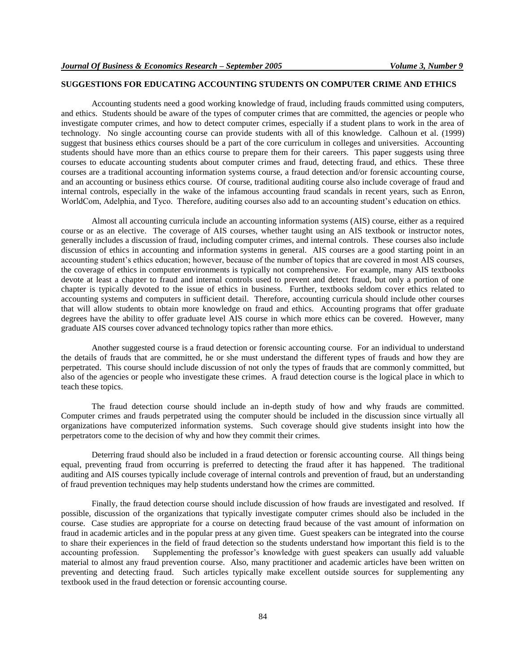# **SUGGESTIONS FOR EDUCATING ACCOUNTING STUDENTS ON COMPUTER CRIME AND ETHICS**

Accounting students need a good working knowledge of fraud, including frauds committed using computers, and ethics. Students should be aware of the types of computer crimes that are committed, the agencies or people who investigate computer crimes, and how to detect computer crimes, especially if a student plans to work in the area of technology. No single accounting course can provide students with all of this knowledge. Calhoun et al. (1999) suggest that business ethics courses should be a part of the core curriculum in colleges and universities. Accounting students should have more than an ethics course to prepare them for their careers. This paper suggests using three courses to educate accounting students about computer crimes and fraud, detecting fraud, and ethics. These three courses are a traditional accounting information systems course, a fraud detection and/or forensic accounting course, and an accounting or business ethics course. Of course, traditional auditing course also include coverage of fraud and internal controls, especially in the wake of the infamous accounting fraud scandals in recent years, such as Enron, WorldCom, Adelphia, and Tyco. Therefore, auditing courses also add to an accounting student's education on ethics.

Almost all accounting curricula include an accounting information systems (AIS) course, either as a required course or as an elective. The coverage of AIS courses, whether taught using an AIS textbook or instructor notes, generally includes a discussion of fraud, including computer crimes, and internal controls. These courses also include discussion of ethics in accounting and information systems in general. AIS courses are a good starting point in an accounting student's ethics education; however, because of the number of topics that are covered in most AIS courses, the coverage of ethics in computer environments is typically not comprehensive. For example, many AIS textbooks devote at least a chapter to fraud and internal controls used to prevent and detect fraud, but only a portion of one chapter is typically devoted to the issue of ethics in business. Further, textbooks seldom cover ethics related to accounting systems and computers in sufficient detail. Therefore, accounting curricula should include other courses that will allow students to obtain more knowledge on fraud and ethics. Accounting programs that offer graduate degrees have the ability to offer graduate level AIS course in which more ethics can be covered. However, many graduate AIS courses cover advanced technology topics rather than more ethics.

Another suggested course is a fraud detection or forensic accounting course. For an individual to understand the details of frauds that are committed, he or she must understand the different types of frauds and how they are perpetrated. This course should include discussion of not only the types of frauds that are commonly committed, but also of the agencies or people who investigate these crimes. A fraud detection course is the logical place in which to teach these topics.

The fraud detection course should include an in-depth study of how and why frauds are committed. Computer crimes and frauds perpetrated using the computer should be included in the discussion since virtually all organizations have computerized information systems. Such coverage should give students insight into how the perpetrators come to the decision of why and how they commit their crimes.

Deterring fraud should also be included in a fraud detection or forensic accounting course. All things being equal, preventing fraud from occurring is preferred to detecting the fraud after it has happened. The traditional auditing and AIS courses typically include coverage of internal controls and prevention of fraud, but an understanding of fraud prevention techniques may help students understand how the crimes are committed.

Finally, the fraud detection course should include discussion of how frauds are investigated and resolved. If possible, discussion of the organizations that typically investigate computer crimes should also be included in the course. Case studies are appropriate for a course on detecting fraud because of the vast amount of information on fraud in academic articles and in the popular press at any given time. Guest speakers can be integrated into the course to share their experiences in the field of fraud detection so the students understand how important this field is to the accounting profession. Supplementing the professor's knowledge with guest speakers can usually add valuable material to almost any fraud prevention course. Also, many practitioner and academic articles have been written on preventing and detecting fraud. Such articles typically make excellent outside sources for supplementing any textbook used in the fraud detection or forensic accounting course.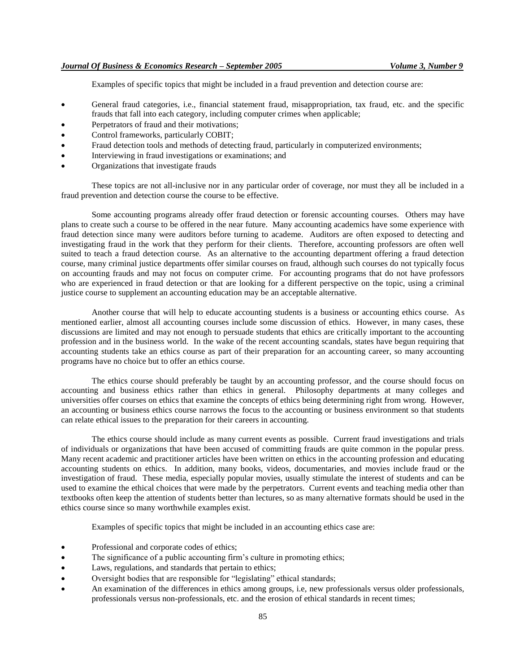Examples of specific topics that might be included in a fraud prevention and detection course are:

- General fraud categories, i.e., financial statement fraud, misappropriation, tax fraud, etc. and the specific frauds that fall into each category, including computer crimes when applicable;
- Perpetrators of fraud and their motivations;
- Control frameworks, particularly COBIT;
- Fraud detection tools and methods of detecting fraud, particularly in computerized environments;
- Interviewing in fraud investigations or examinations; and
- Organizations that investigate frauds

These topics are not all-inclusive nor in any particular order of coverage, nor must they all be included in a fraud prevention and detection course the course to be effective.

Some accounting programs already offer fraud detection or forensic accounting courses. Others may have plans to create such a course to be offered in the near future. Many accounting academics have some experience with fraud detection since many were auditors before turning to academe. Auditors are often exposed to detecting and investigating fraud in the work that they perform for their clients. Therefore, accounting professors are often well suited to teach a fraud detection course. As an alternative to the accounting department offering a fraud detection course, many criminal justice departments offer similar courses on fraud, although such courses do not typically focus on accounting frauds and may not focus on computer crime. For accounting programs that do not have professors who are experienced in fraud detection or that are looking for a different perspective on the topic, using a criminal justice course to supplement an accounting education may be an acceptable alternative.

Another course that will help to educate accounting students is a business or accounting ethics course. As mentioned earlier, almost all accounting courses include some discussion of ethics. However, in many cases, these discussions are limited and may not enough to persuade students that ethics are critically important to the accounting profession and in the business world. In the wake of the recent accounting scandals, states have begun requiring that accounting students take an ethics course as part of their preparation for an accounting career, so many accounting programs have no choice but to offer an ethics course.

The ethics course should preferably be taught by an accounting professor, and the course should focus on accounting and business ethics rather than ethics in general. Philosophy departments at many colleges and universities offer courses on ethics that examine the concepts of ethics being determining right from wrong. However, an accounting or business ethics course narrows the focus to the accounting or business environment so that students can relate ethical issues to the preparation for their careers in accounting.

The ethics course should include as many current events as possible. Current fraud investigations and trials of individuals or organizations that have been accused of committing frauds are quite common in the popular press. Many recent academic and practitioner articles have been written on ethics in the accounting profession and educating accounting students on ethics. In addition, many books, videos, documentaries, and movies include fraud or the investigation of fraud. These media, especially popular movies, usually stimulate the interest of students and can be used to examine the ethical choices that were made by the perpetrators. Current events and teaching media other than textbooks often keep the attention of students better than lectures, so as many alternative formats should be used in the ethics course since so many worthwhile examples exist.

Examples of specific topics that might be included in an accounting ethics case are:

- Professional and corporate codes of ethics;
- The significance of a public accounting firm's culture in promoting ethics;
- Laws, regulations, and standards that pertain to ethics;
- Oversight bodies that are responsible for "legislating" ethical standards;
- An examination of the differences in ethics among groups, i.e, new professionals versus older professionals, professionals versus non-professionals, etc. and the erosion of ethical standards in recent times;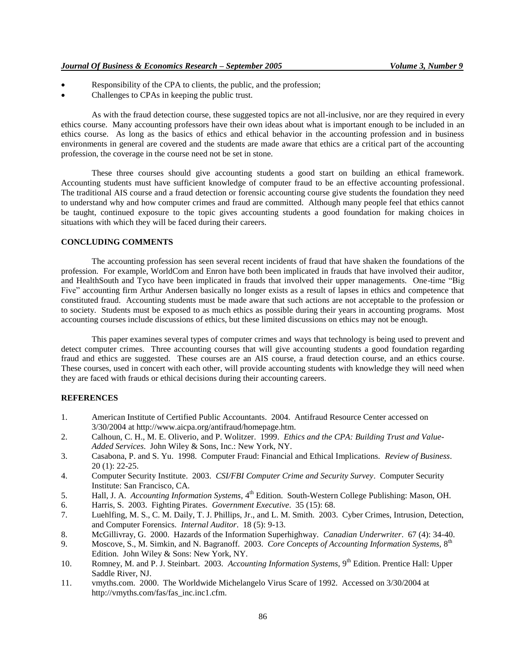- Responsibility of the CPA to clients, the public, and the profession;
- Challenges to CPAs in keeping the public trust.

As with the fraud detection course, these suggested topics are not all-inclusive, nor are they required in every ethics course. Many accounting professors have their own ideas about what is important enough to be included in an ethics course. As long as the basics of ethics and ethical behavior in the accounting profession and in business environments in general are covered and the students are made aware that ethics are a critical part of the accounting profession, the coverage in the course need not be set in stone.

These three courses should give accounting students a good start on building an ethical framework. Accounting students must have sufficient knowledge of computer fraud to be an effective accounting professional. The traditional AIS course and a fraud detection or forensic accounting course give students the foundation they need to understand why and how computer crimes and fraud are committed. Although many people feel that ethics cannot be taught, continued exposure to the topic gives accounting students a good foundation for making choices in situations with which they will be faced during their careers.

## **CONCLUDING COMMENTS**

The accounting profession has seen several recent incidents of fraud that have shaken the foundations of the profession. For example, WorldCom and Enron have both been implicated in frauds that have involved their auditor, and HealthSouth and Tyco have been implicated in frauds that involved their upper managements. One-time "Big Five" accounting firm Arthur Andersen basically no longer exists as a result of lapses in ethics and competence that constituted fraud. Accounting students must be made aware that such actions are not acceptable to the profession or to society. Students must be exposed to as much ethics as possible during their years in accounting programs. Most accounting courses include discussions of ethics, but these limited discussions on ethics may not be enough.

This paper examines several types of computer crimes and ways that technology is being used to prevent and detect computer crimes. Three accounting courses that will give accounting students a good foundation regarding fraud and ethics are suggested. These courses are an AIS course, a fraud detection course, and an ethics course. These courses, used in concert with each other, will provide accounting students with knowledge they will need when they are faced with frauds or ethical decisions during their accounting careers.

## **REFERENCES**

- 1. American Institute of Certified Public Accountants. 2004. Antifraud Resource Center accessed on 3/30/2004 at http://www.aicpa.org/antifraud/homepage.htm.
- 2. Calhoun, C. H., M. E. Oliverio, and P. Wolitzer. 1999. *Ethics and the CPA: Building Trust and Value-Added Services*. John Wiley & Sons, Inc.: New York, NY.
- 3. Casabona, P. and S. Yu. 1998. Computer Fraud: Financial and Ethical Implications. *Review of Business*. 20 (1): 22-25.
- 4. Computer Security Institute. 2003. *CSI/FBI Computer Crime and Security Survey*. Computer Security Institute: San Francisco, CA.
- 5. Hall, J. A. *Accounting Information Systems*, 4<sup>th</sup> Edition. South-Western College Publishing: Mason, OH.
- 6. Harris, S. 2003. Fighting Pirates. *Government Executive*. 35 (15): 68.
- 7. Luehlfing, M. S., C. M. Daily, T. J. Phillips, Jr., and L. M. Smith. 2003. Cyber Crimes, Intrusion, Detection, and Computer Forensics. *Internal Auditor*. 18 (5): 9-13.
- 8. McGillivray, G. 2000. Hazards of the Information Superhighway. *Canadian Underwriter*. 67 (4): 34-40.
- 9. Moscove, S., M. Simkin, and N. Bagranoff. 2003. *Core Concepts of Accounting Information Systems*, 8<sup>th</sup> Edition. John Wiley & Sons: New York, NY.
- 10. Romney, M. and P. J. Steinbart. 2003. *Accounting Information Systems*, 9<sup>th</sup> Edition. Prentice Hall: Upper Saddle River, NJ.
- 11. vmyths.com. 2000. The Worldwide Michelangelo Virus Scare of 1992. Accessed on 3/30/2004 at http://vmyths.com/fas/fas\_inc.inc1.cfm.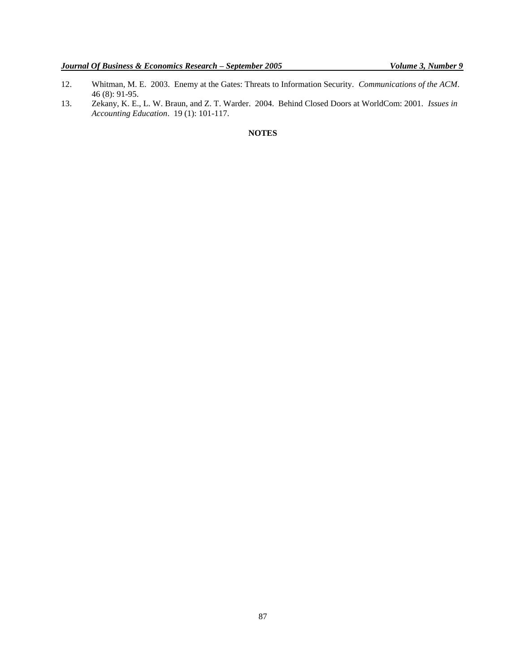- 12. Whitman, M. E. 2003. Enemy at the Gates: Threats to Information Security. *Communications of the ACM*. 46 (8): 91-95.
- 13. Zekany, K. E., L. W. Braun, and Z. T. Warder. 2004. Behind Closed Doors at WorldCom: 2001. *Issues in Accounting Education*. 19 (1): 101-117.

**NOTES**